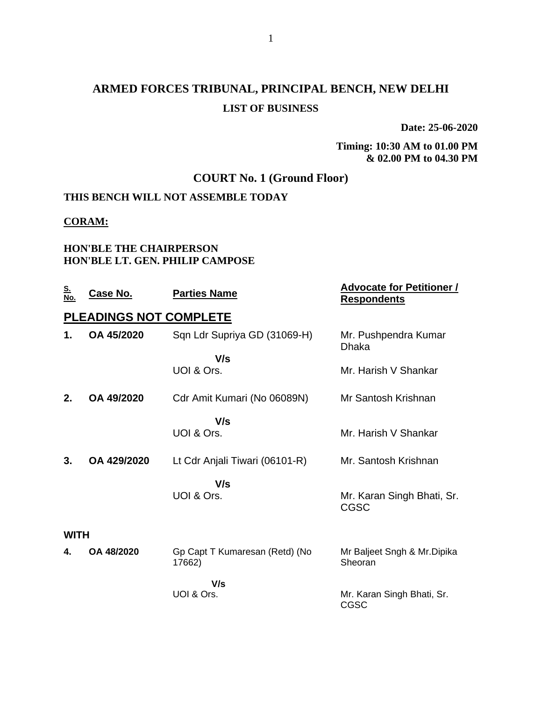# **ARMED FORCES TRIBUNAL, PRINCIPAL BENCH, NEW DELHI LIST OF BUSINESS**

**Date: 25-06-2020**

**Timing: 10:30 AM to 01.00 PM & 02.00 PM to 04.30 PM**

## **COURT No. 1 (Ground Floor)**

## **THIS BENCH WILL NOT ASSEMBLE TODAY**

#### **CORAM:**

#### **HON'BLE THE CHAIRPERSON HON'BLE LT. GEN. PHILIP CAMPOSE**

| <u>S.</u><br>No. | <u>Case No.</u>               | <b>Parties Name</b>                      | <b>Advocate for Petitioner /</b><br><b>Respondents</b> |
|------------------|-------------------------------|------------------------------------------|--------------------------------------------------------|
|                  | <b>PLEADINGS NOT COMPLETE</b> |                                          |                                                        |
| 1.               | OA 45/2020                    | Sqn Ldr Supriya GD (31069-H)             | Mr. Pushpendra Kumar<br>Dhaka                          |
|                  |                               | V/s                                      |                                                        |
|                  |                               | UOI & Ors.                               | Mr. Harish V Shankar                                   |
| 2.               | OA 49/2020                    | Cdr Amit Kumari (No 06089N)              | Mr Santosh Krishnan                                    |
|                  |                               | V/s                                      |                                                        |
|                  |                               | UOI & Ors.                               | Mr. Harish V Shankar                                   |
| 3.               | OA 429/2020                   | Lt Cdr Anjali Tiwari (06101-R)           | Mr. Santosh Krishnan                                   |
|                  |                               | V/s                                      |                                                        |
|                  |                               | UOI & Ors.                               | Mr. Karan Singh Bhati, Sr.<br><b>CGSC</b>              |
| <b>WITH</b>      |                               |                                          |                                                        |
| 4.               | OA 48/2020                    | Gp Capt T Kumaresan (Retd) (No<br>17662) | Mr Baljeet Sngh & Mr. Dipika<br>Sheoran                |
|                  |                               |                                          |                                                        |
|                  |                               | V/s<br>UOI & Ors.                        | Mr. Karan Singh Bhati, Sr.<br><b>CGSC</b>              |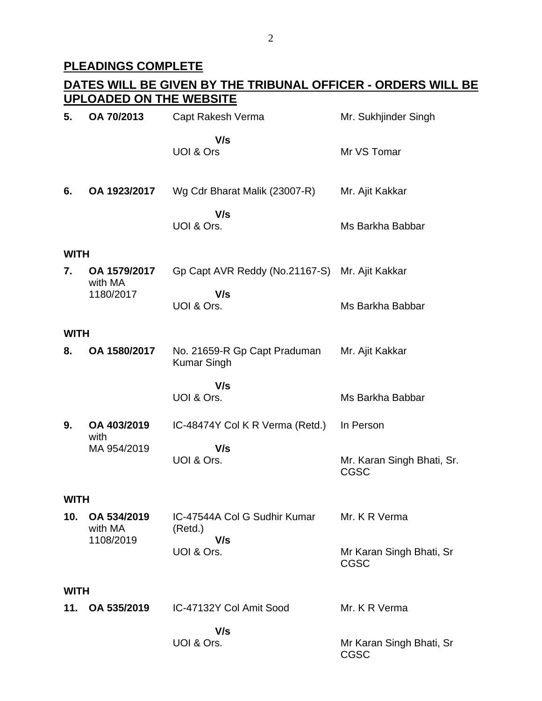# **PLEADINGS COMPLETE**

|             | DATES WILL BE GIVEN BY THE TRIBUNAL OFFICER - ORDERS WILL BE<br><b>UPLOADED ON THE WEBSITE</b> |                                                    |                                           |  |  |
|-------------|------------------------------------------------------------------------------------------------|----------------------------------------------------|-------------------------------------------|--|--|
| 5.          | OA 70/2013                                                                                     | Capt Rakesh Verma                                  | Mr. Sukhjinder Singh                      |  |  |
|             |                                                                                                | V/s<br>UOI & Ors                                   | Mr VS Tomar                               |  |  |
| 6.          | OA 1923/2017                                                                                   | Wg Cdr Bharat Malik (23007-R)                      | Mr. Ajit Kakkar                           |  |  |
|             |                                                                                                | V/s<br>UOI & Ors.                                  | Ms Barkha Babbar                          |  |  |
| <b>WITH</b> |                                                                                                |                                                    |                                           |  |  |
| 7.          | OA 1579/2017<br>with MA                                                                        | Gp Capt AVR Reddy (No.21167-S)                     | Mr. Ajit Kakkar                           |  |  |
|             | 1180/2017                                                                                      | V/s<br>UOI & Ors.                                  | Ms Barkha Babbar                          |  |  |
| <b>WITH</b> |                                                                                                |                                                    |                                           |  |  |
| 8.          | OA 1580/2017                                                                                   | No. 21659-R Gp Capt Praduman<br><b>Kumar Singh</b> | Mr. Ajit Kakkar                           |  |  |
|             |                                                                                                | V/s<br>UOI & Ors.                                  | Ms Barkha Babbar                          |  |  |
| 9.          | OA 403/2019<br>with                                                                            | IC-48474Y Col K R Verma (Retd.)                    | In Person                                 |  |  |
|             | MA 954/2019                                                                                    | V/s<br>UOI & Ors.                                  | Mr. Karan Singh Bhati, Sr.<br><b>CGSC</b> |  |  |
| <b>WITH</b> |                                                                                                |                                                    |                                           |  |  |
| 10.         | OA 534/2019<br>with MA<br>1108/2019                                                            | IC-47544A Col G Sudhir Kumar<br>(Retd.)            | Mr. K R Verma                             |  |  |
|             |                                                                                                | V/s<br>UOI & Ors.                                  | Mr Karan Singh Bhati, Sr<br><b>CGSC</b>   |  |  |
| <b>WITH</b> |                                                                                                |                                                    |                                           |  |  |
|             | 11. OA 535/2019                                                                                | IC-47132Y Col Amit Sood                            | Mr. K R Verma                             |  |  |
|             |                                                                                                | V/s<br>UOI & Ors.                                  | Mr Karan Singh Bhati, Sr<br><b>CGSC</b>   |  |  |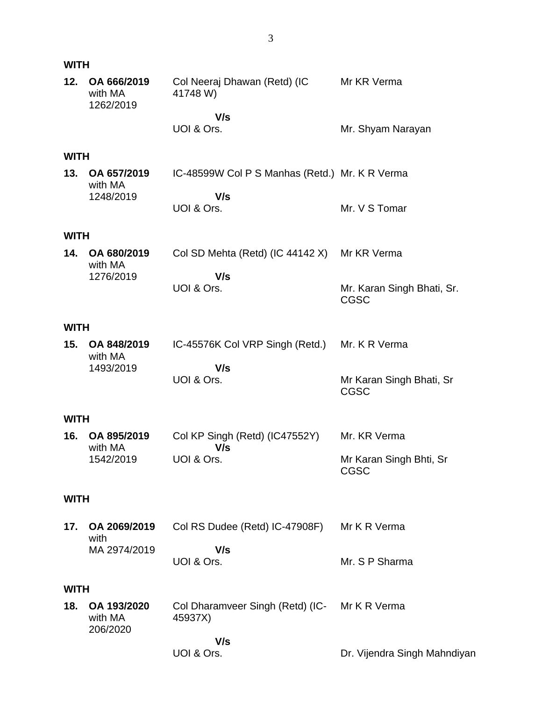| <b>WITH</b> |                                     |                                                          |                                           |
|-------------|-------------------------------------|----------------------------------------------------------|-------------------------------------------|
| 12.         | OA 666/2019<br>with MA<br>1262/2019 | Col Neeraj Dhawan (Retd) (IC<br>41748 W)                 | Mr KR Verma                               |
|             |                                     | V/s<br>UOI & Ors.                                        | Mr. Shyam Narayan                         |
| <b>WITH</b> |                                     |                                                          |                                           |
| 13.         | OA 657/2019<br>with MA<br>1248/2019 | IC-48599W Col P S Manhas (Retd.) Mr. K R Verma<br>V/s    |                                           |
|             |                                     | UOI & Ors.                                               | Mr. V S Tomar                             |
| <b>WITH</b> |                                     |                                                          |                                           |
| 14.         | OA 680/2019<br>with MA              | Col SD Mehta (Retd) (IC 44142 X)                         | Mr KR Verma                               |
|             | 1276/2019                           | V/s<br>UOI & Ors.                                        | Mr. Karan Singh Bhati, Sr.<br><b>CGSC</b> |
| <b>WITH</b> |                                     |                                                          |                                           |
| 15.         | OA 848/2019<br>with MA              | IC-45576K Col VRP Singh (Retd.)<br>V/s                   | Mr. K R Verma                             |
|             | 1493/2019                           | UOI & Ors.                                               | Mr Karan Singh Bhati, Sr<br><b>CGSC</b>   |
| <b>WITH</b> |                                     |                                                          |                                           |
| 16.         | OA 895/2019<br>with MA              | Col KP Singh (Retd) (IC47552Y)<br>V/s                    | Mr. KR Verma                              |
|             | 1542/2019                           | UOI & Ors.                                               | Mr Karan Singh Bhti, Sr<br><b>CGSC</b>    |
| <b>WITH</b> |                                     |                                                          |                                           |
| 17.         | OA 2069/2019<br>with                | Col RS Dudee (Retd) IC-47908F)                           | Mr K R Verma                              |
|             | MA 2974/2019                        | V/s<br>UOI & Ors.                                        | Mr. S P Sharma                            |
| <b>WITH</b> |                                     |                                                          |                                           |
| 18.         | OA 193/2020<br>with MA<br>206/2020  | Col Dharamveer Singh (Retd) (IC- Mr K R Verma<br>45937X) |                                           |
|             |                                     | V/s<br>UOI & Ors.                                        | Dr. Vijendra Singh Mahndiyan              |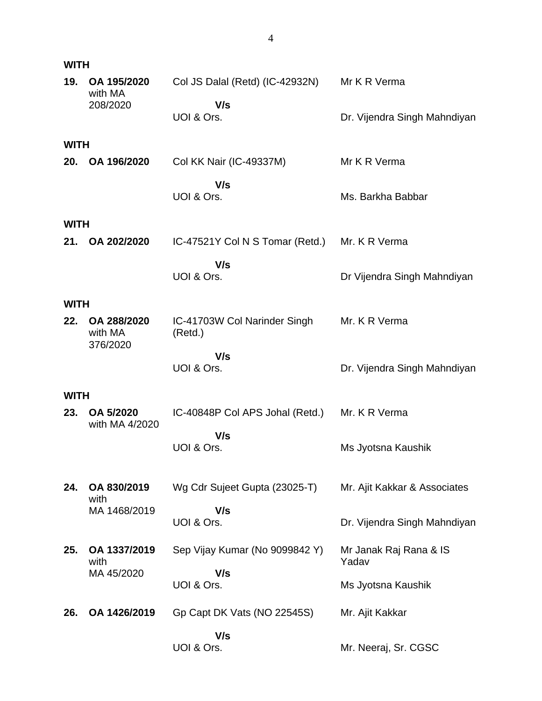| <b>WITH</b> |                             |                                         |                                 |
|-------------|-----------------------------|-----------------------------------------|---------------------------------|
| 19.         | OA 195/2020<br>with MA      | Col JS Dalal (Retd) (IC-42932N)         | Mr K R Verma                    |
|             | 208/2020                    | V/s<br>UOI & Ors.                       | Dr. Vijendra Singh Mahndiyan    |
| <b>WITH</b> |                             |                                         |                                 |
| 20.         | OA 196/2020                 | Col KK Nair (IC-49337M)                 | Mr K R Verma                    |
|             |                             | V/s<br>UOI & Ors.                       | Ms. Barkha Babbar               |
| <b>WITH</b> |                             |                                         |                                 |
| 21.         | OA 202/2020                 | IC-47521Y Col N S Tomar (Retd.)         | Mr. K R Verma                   |
|             |                             | V/s<br>UOI & Ors.                       | Dr Vijendra Singh Mahndiyan     |
| <b>WITH</b> |                             |                                         |                                 |
| 22.         | OA 288/2020<br>with MA      | IC-41703W Col Narinder Singh<br>(Retd.) | Mr. K R Verma                   |
|             | 376/2020                    | V/s<br>UOI & Ors.                       | Dr. Vijendra Singh Mahndiyan    |
|             |                             |                                         |                                 |
| <b>WITH</b> |                             |                                         |                                 |
| 23.         | OA 5/2020<br>with MA 4/2020 | IC-40848P Col APS Johal (Retd.)<br>V/s  | Mr. K R Verma                   |
|             |                             | UOI & Ors.                              | Ms Jyotsna Kaushik              |
| 24.         | OA 830/2019                 | Wg Cdr Sujeet Gupta (23025-T)           | Mr. Ajit Kakkar & Associates    |
|             | with<br>MA 1468/2019        | V/s                                     |                                 |
|             |                             | UOI & Ors.                              | Dr. Vijendra Singh Mahndiyan    |
| 25.         | OA 1337/2019<br>with        | Sep Vijay Kumar (No 9099842 Y)          | Mr Janak Raj Rana & IS<br>Yadav |
|             | MA 45/2020                  | V/s<br>UOI & Ors.                       | Ms Jyotsna Kaushik              |
| 26.         | OA 1426/2019                | Gp Capt DK Vats (NO 22545S)             | Mr. Ajit Kakkar                 |
|             |                             | V/s<br>UOI & Ors.                       | Mr. Neeraj, Sr. CGSC            |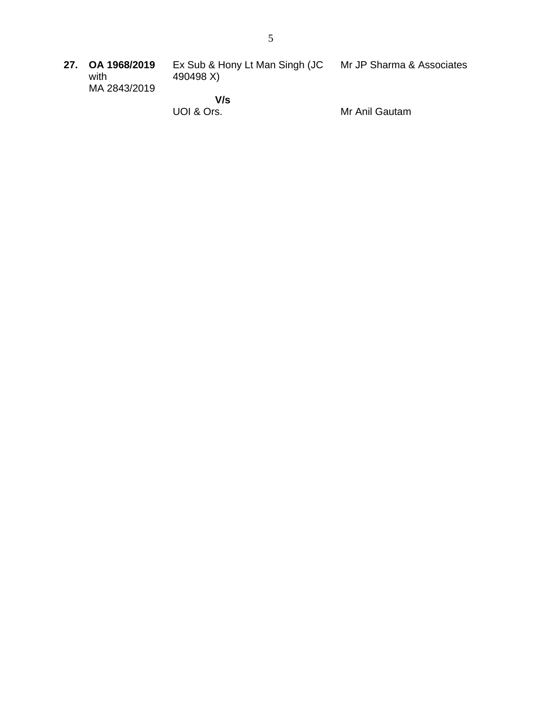**27. OA 1968/2019** with MA 2843/2019 Ex Sub & Hony Lt Man Singh (JC 490498 X)  **V/s** Mr JP Sharma & Associates

UOI & Ors.

Mr Anil Gautam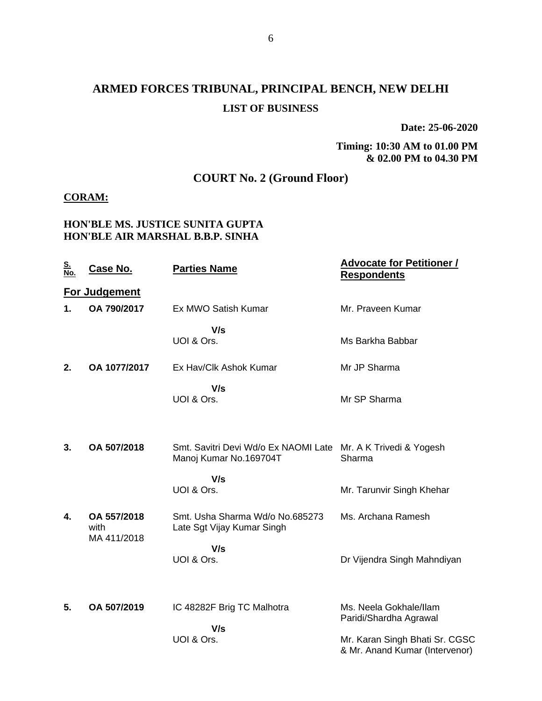# **ARMED FORCES TRIBUNAL, PRINCIPAL BENCH, NEW DELHI LIST OF BUSINESS**

**Date: 25-06-2020**

**Timing: 10:30 AM to 01.00 PM & 02.00 PM to 04.30 PM**

## **COURT No. 2 (Ground Floor)**

#### **CORAM:**

#### **HON'BLE MS. JUSTICE SUNITA GUPTA HON'BLE AIR MARSHAL B.B.P. SINHA**

| <u>S.<br/>No.</u> | <u>Case No.</u>      | <b>Parties Name</b>                                                                     | <b>Advocate for Petitioner /</b><br><b>Respondents</b>           |
|-------------------|----------------------|-----------------------------------------------------------------------------------------|------------------------------------------------------------------|
|                   | <b>For Judgement</b> |                                                                                         |                                                                  |
| 1.                | OA 790/2017          | Ex MWO Satish Kumar                                                                     | Mr. Praveen Kumar                                                |
|                   |                      | V/s<br>UOI & Ors.                                                                       | Ms Barkha Babbar                                                 |
| 2.                | OA 1077/2017         | Ex Hav/Clk Ashok Kumar                                                                  | Mr JP Sharma                                                     |
|                   |                      | V/s<br>UOI & Ors.                                                                       | Mr SP Sharma                                                     |
| 3.                | OA 507/2018          | Smt. Savitri Devi Wd/o Ex NAOMI Late Mr. A K Trivedi & Yogesh<br>Manoj Kumar No.169704T | Sharma                                                           |
|                   |                      | V/s<br>UOI & Ors.                                                                       | Mr. Tarunvir Singh Khehar                                        |
| 4.                | OA 557/2018<br>with  | Smt. Usha Sharma Wd/o No.685273<br>Late Sgt Vijay Kumar Singh                           | Ms. Archana Ramesh                                               |
|                   | MA 411/2018          | V/s<br>UOI & Ors.                                                                       | Dr Vijendra Singh Mahndiyan                                      |
| 5.                | OA 507/2019          | IC 48282F Brig TC Malhotra<br>V/s                                                       | Ms. Neela Gokhale/Ilam<br>Paridi/Shardha Agrawal                 |
|                   |                      | UOI & Ors.                                                                              | Mr. Karan Singh Bhati Sr. CGSC<br>& Mr. Anand Kumar (Intervenor) |
|                   |                      |                                                                                         |                                                                  |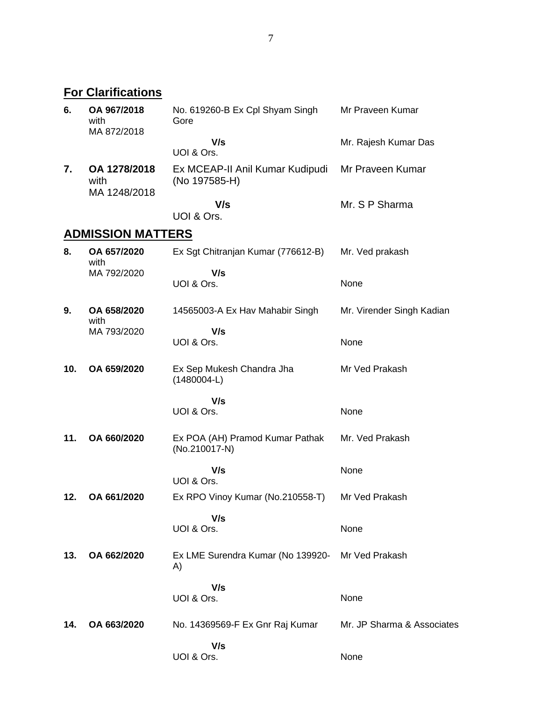**For Clarifications**

| 6.  | OA 967/2018<br>with<br>MA 872/2018   | No. 619260-B Ex Cpl Shyam Singh<br>Gore          | Mr Praveen Kumar           |
|-----|--------------------------------------|--------------------------------------------------|----------------------------|
|     |                                      | V/s<br>UOI & Ors.                                | Mr. Rajesh Kumar Das       |
| 7.  | OA 1278/2018<br>with<br>MA 1248/2018 | Ex MCEAP-II Anil Kumar Kudipudi<br>(No 197585-H) | Mr Praveen Kumar           |
|     |                                      | V/s<br>UOI & Ors.                                | Mr. S P Sharma             |
|     | <b>ADMISSION MATTERS</b>             |                                                  |                            |
| 8.  | OA 657/2020<br>with                  | Ex Sgt Chitranjan Kumar (776612-B)               | Mr. Ved prakash            |
|     | MA 792/2020                          | V/s<br>UOI & Ors.                                | None                       |
| 9.  | OA 658/2020<br>with                  | 14565003-A Ex Hav Mahabir Singh                  | Mr. Virender Singh Kadian  |
|     | MA 793/2020                          | V/s<br>UOI & Ors.                                | None                       |
| 10. | OA 659/2020                          | Ex Sep Mukesh Chandra Jha<br>$(1480004-L)$       | Mr Ved Prakash             |
|     |                                      | V/s<br>UOI & Ors.                                | None                       |
| 11. | OA 660/2020                          | Ex POA (AH) Pramod Kumar Pathak<br>(No.210017-N) | Mr. Ved Prakash            |
|     |                                      | V/s<br>UOI & Ors.                                | None                       |
| 12. | OA 661/2020                          | Ex RPO Vinoy Kumar (No.210558-T)                 | Mr Ved Prakash             |
|     |                                      | V/s<br>UOI & Ors.                                | None                       |
| 13. | OA 662/2020                          | Ex LME Surendra Kumar (No 139920-<br>A)          | Mr Ved Prakash             |
|     |                                      | V/s<br>UOI & Ors.                                | None                       |
| 14. | OA 663/2020                          | No. 14369569-F Ex Gnr Raj Kumar                  | Mr. JP Sharma & Associates |
|     |                                      | V/s<br>UOI & Ors.                                | None                       |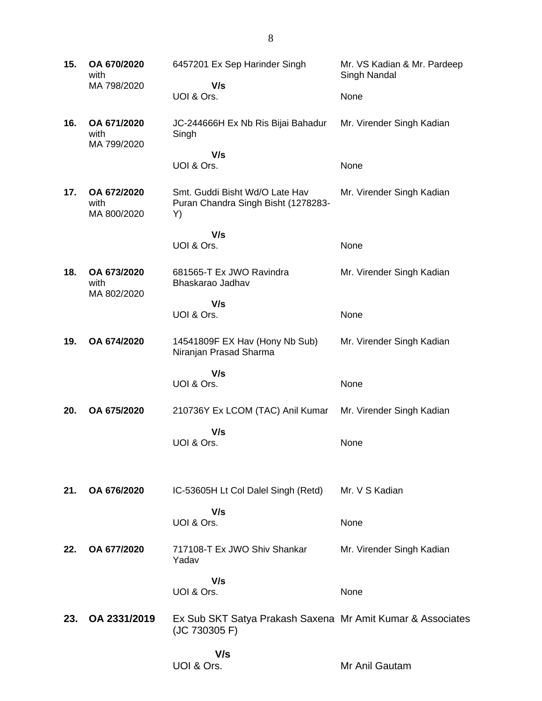**15. OA 670/2020** with MA 798/2020 6457201 Ex Sep Harinder Singh  **V/s** UOI & Ors. Mr. VS Kadian & Mr. Pardeep Singh Nandal None **16. OA 671/2020** with MA 799/2020 JC-244666H Ex Nb Ris Bijai Bahadur Singh  **V/s** UOI & Ors. Mr. Virender Singh Kadian None **17. OA 672/2020** with MA 800/2020 Smt. Guddi Bisht Wd/O Late Hav Puran Chandra Singh Bisht (1278283- Y)  **V/s** UOI & Ors. Mr. Virender Singh Kadian None **18. OA 673/2020** with MA 802/2020 681565-T Ex JWO Ravindra Bhaskarao Jadhav  **V/s** UOI & Ors. Mr. Virender Singh Kadian None **19. OA 674/2020** 14541809F EX Hav (Hony Nb Sub) Niranjan Prasad Sharma  **V/s** UOI & Ors. Mr. Virender Singh Kadian None **20. OA 675/2020** 210736Y Ex LCOM (TAC) Anil Kumar  **V/s** UOI & Ors. Mr. Virender Singh Kadian None **21. OA 676/2020** IC-53605H Lt Col Dalel Singh (Retd)  **V/s** UOI & Ors. Mr. V S Kadian None **22. OA 677/2020** 717108-T Ex JWO Shiv Shankar Yadav  **V/s** UOI & Ors. Mr. Virender Singh Kadian **None 23. OA 2331/2019** Ex Sub SKT Satya Prakash Saxena Mr Amit Kumar & Associates (JC 730305 F)  **V/s** UOI & Ors. Mr Anil Gautam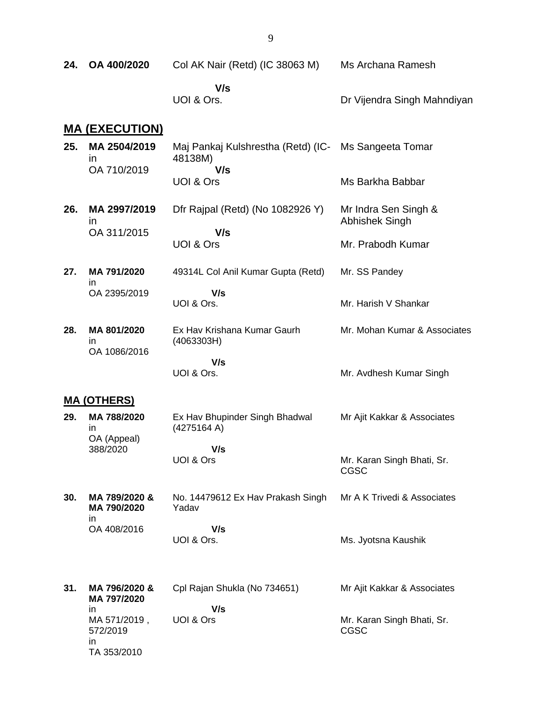| 24. | OA 400/2020                                          | Col AK Nair (Retd) (IC 38063 M)                                 | Ms Archana Ramesh                         |
|-----|------------------------------------------------------|-----------------------------------------------------------------|-------------------------------------------|
|     |                                                      | V/s<br>UOI & Ors.                                               | Dr Vijendra Singh Mahndiyan               |
|     | <b>MA (EXECUTION)</b>                                |                                                                 |                                           |
| 25. | MA 2504/2019<br>ın                                   | Maj Pankaj Kulshrestha (Retd) (IC- Ms Sangeeta Tomar<br>48138M) |                                           |
|     | OA 710/2019                                          | V/s<br>UOI & Ors                                                | Ms Barkha Babbar                          |
| 26. | MA 2997/2019<br>$\mathsf{I}$                         | Dfr Rajpal (Retd) (No 1082926 Y)<br>V/s                         | Mr Indra Sen Singh &<br>Abhishek Singh    |
|     | OA 311/2015                                          | UOI & Ors                                                       | Mr. Prabodh Kumar                         |
| 27. | MA 791/2020<br>ın                                    | 49314L Col Anil Kumar Gupta (Retd)                              | Mr. SS Pandey                             |
|     | OA 2395/2019                                         | V/s<br>UOI & Ors.                                               | Mr. Harish V Shankar                      |
| 28. | MA 801/2020<br>in<br>OA 1086/2016                    | Ex Hav Krishana Kumar Gaurh<br>(4063303H)                       | Mr. Mohan Kumar & Associates              |
|     |                                                      | V/s<br>UOI & Ors.                                               | Mr. Avdhesh Kumar Singh                   |
|     | <u>MA (OTHERS)</u>                                   |                                                                 |                                           |
| 29. | MA 788/2020<br>in                                    | Ex Hav Bhupinder Singh Bhadwal<br>(4275164 A)                   | Mr Ajit Kakkar & Associates               |
|     | OA (Appeal)<br>388/2020                              | V/s                                                             |                                           |
|     |                                                      | UOI & Ors                                                       | Mr. Karan Singh Bhati, Sr.<br><b>CGSC</b> |
| 30. | MA 789/2020 &<br>MA 790/2020<br>in                   | No. 14479612 Ex Hav Prakash Singh<br>Yadav                      | Mr A K Trivedi & Associates               |
|     | OA 408/2016                                          | V/s<br>UOI & Ors.                                               | Ms. Jyotsna Kaushik                       |
| 31. | MA 796/2020 &<br>MA 797/2020                         | Cpl Rajan Shukla (No 734651)                                    | Mr Ajit Kakkar & Associates               |
|     | in.<br>MA 571/2019,<br>572/2019<br>in<br>TA 353/2010 | V/s<br>UOI & Ors                                                | Mr. Karan Singh Bhati, Sr.<br><b>CGSC</b> |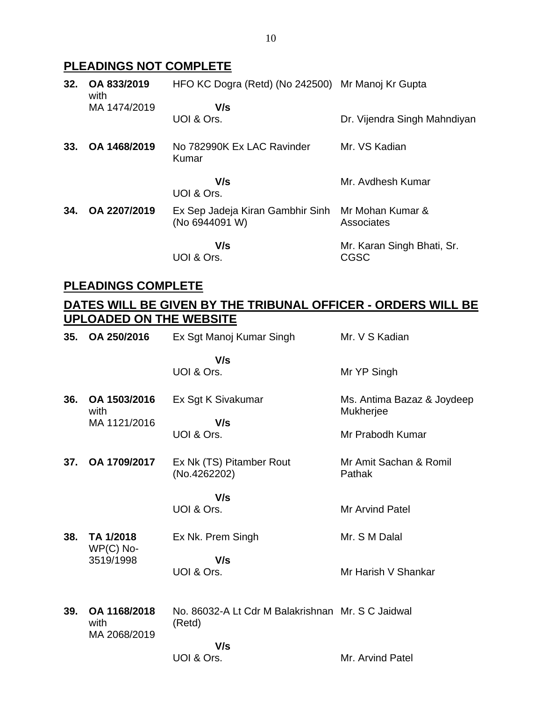## **PLEADINGS NOT COMPLETE**

| 32. | OA 833/2019<br>with | HFO KC Dogra (Retd) (No 242500) Mr Manoj Kr Gupta  |                                           |
|-----|---------------------|----------------------------------------------------|-------------------------------------------|
|     | MA 1474/2019        | V/s                                                |                                           |
|     |                     | UOI & Ors.                                         | Dr. Vijendra Singh Mahndiyan              |
| 33. | OA 1468/2019        | No 782990K Ex LAC Ravinder<br>Kumar                | Mr. VS Kadian                             |
|     |                     | V/s<br>UOI & Ors.                                  | Mr. Avdhesh Kumar                         |
| 34. | OA 2207/2019        | Ex Sep Jadeja Kiran Gambhir Sinh<br>(No 6944091 W) | Mr Mohan Kumar &<br>Associates            |
|     |                     | V/s<br>UOI & Ors.                                  | Mr. Karan Singh Bhati, Sr.<br><b>CGSC</b> |

## **PLEADINGS COMPLETE**

## **DATES WILL BE GIVEN BY THE TRIBUNAL OFFICER - ORDERS WILL BE UPLOADED ON THE WEBSITE**

| 35. | OA 250/2016                          | Ex Sgt Manoj Kumar Singh                                    | Mr. V S Kadian                                              |
|-----|--------------------------------------|-------------------------------------------------------------|-------------------------------------------------------------|
|     |                                      | V/s<br>UOI & Ors.                                           | Mr YP Singh                                                 |
| 36. | OA 1503/2016<br>with<br>MA 1121/2016 | Ex Sgt K Sivakumar<br>V/s<br>UOI & Ors.                     | Ms. Antima Bazaz & Joydeep<br>Mukherjee<br>Mr Prabodh Kumar |
| 37. | OA 1709/2017                         | Ex Nk (TS) Pitamber Rout<br>(No.4262202)                    | Mr Amit Sachan & Romil<br>Pathak                            |
|     |                                      | V/s<br>UOI & Ors.                                           | <b>Mr Arvind Patel</b>                                      |
| 38. | TA 1/2018<br>$WP(C)$ No-             | Ex Nk. Prem Singh                                           | Mr. S M Dalal                                               |
|     | 3519/1998                            | V/s<br>UOI & Ors.                                           | Mr Harish V Shankar                                         |
| 39. | OA 1168/2018<br>with<br>MA 2068/2019 | No. 86032-A Lt Cdr M Balakrishnan Mr. S C Jaidwal<br>(Retd) |                                                             |
|     |                                      | V/s<br>UOI & Ors.                                           | Mr. Arvind Patel                                            |
|     |                                      |                                                             |                                                             |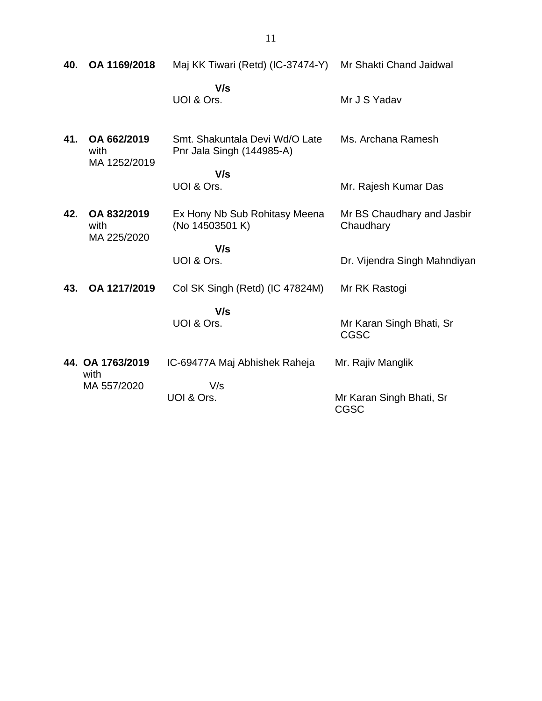| 40. | OA 1169/2018                        | Maj KK Tiwari (Retd) (IC-37474-Y) Mr Shakti Chand Jaidwal   |                                         |
|-----|-------------------------------------|-------------------------------------------------------------|-----------------------------------------|
|     |                                     | V/s<br>UOI & Ors.                                           | Mr J S Yadav                            |
| 41. | OA 662/2019<br>with<br>MA 1252/2019 | Smt. Shakuntala Devi Wd/O Late<br>Pnr Jala Singh (144985-A) | Ms. Archana Ramesh                      |
|     |                                     | V/s<br>UOI & Ors.                                           | Mr. Rajesh Kumar Das                    |
| 42. | OA 832/2019<br>with<br>MA 225/2020  | Ex Hony Nb Sub Rohitasy Meena<br>(No 14503501 K)            | Mr BS Chaudhary and Jasbir<br>Chaudhary |
|     |                                     | V/s<br>UOI & Ors.                                           | Dr. Vijendra Singh Mahndiyan            |
| 43. | OA 1217/2019                        | Col SK Singh (Retd) (IC 47824M)                             | Mr RK Rastogi                           |
|     |                                     | V/s<br>UOI & Ors.                                           | Mr Karan Singh Bhati, Sr<br><b>CGSC</b> |
|     | 44. OA 1763/2019<br>with            | IC-69477A Maj Abhishek Raheja                               | Mr. Rajiv Manglik                       |
|     | MA 557/2020                         | V/s<br>UOI & Ors.                                           | Mr Karan Singh Bhati, Sr<br><b>CGSC</b> |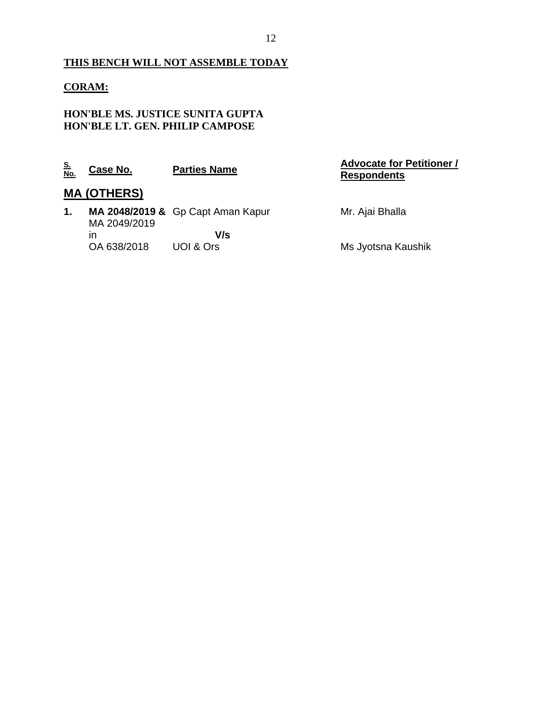## **THIS BENCH WILL NOT ASSEMBLE TODAY**

### **CORAM:**

## **HON'BLE MS. JUSTICE SUNITA GUPTA HON'BLE LT. GEN. PHILIP CAMPOSE**

| <u>S.</u><br><u>No.</u> | Case No.           | <b>Parties Name</b>               | <b>Advocate for Petitioner /</b><br><b>Respondents</b> |
|-------------------------|--------------------|-----------------------------------|--------------------------------------------------------|
|                         | <b>MA (OTHERS)</b> |                                   |                                                        |
| 1.                      | MA 2049/2019       | MA 2048/2019 & Gp Capt Aman Kapur | Mr. Ajai Bhalla                                        |
|                         | ın                 | V/s                               |                                                        |
|                         | OA 638/2018        | UOI & Ors                         | Ms Jyotsna Kaushik                                     |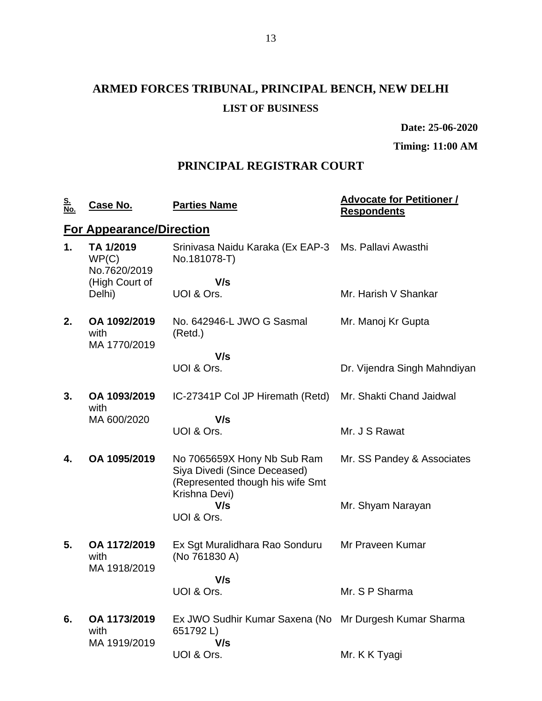# **ARMED FORCES TRIBUNAL, PRINCIPAL BENCH, NEW DELHI LIST OF BUSINESS**

**Date: 25-06-2020**

**Timing: 11:00 AM**

## **PRINCIPAL REGISTRAR COURT**

| <u>S.</u><br>No. | Case No.                             | <b>Parties Name</b>                                                                                              | <b>Advocate for Petitioner /</b><br><b>Respondents</b> |
|------------------|--------------------------------------|------------------------------------------------------------------------------------------------------------------|--------------------------------------------------------|
|                  | <b>For Appearance/Direction</b>      |                                                                                                                  |                                                        |
| 1.               | TA 1/2019<br>WP(C)<br>No.7620/2019   | Srinivasa Naidu Karaka (Ex EAP-3 Ms. Pallavi Awasthi<br>No.181078-T)                                             |                                                        |
|                  | (High Court of<br>Delhi)             | V/s<br>UOI & Ors.                                                                                                | Mr. Harish V Shankar                                   |
|                  |                                      |                                                                                                                  |                                                        |
| 2.               | OA 1092/2019<br>with<br>MA 1770/2019 | No. 642946-L JWO G Sasmal<br>(Retd.)                                                                             | Mr. Manoj Kr Gupta                                     |
|                  |                                      | V/s                                                                                                              |                                                        |
|                  |                                      | UOI & Ors.                                                                                                       | Dr. Vijendra Singh Mahndiyan                           |
| 3.               | OA 1093/2019<br>with                 | IC-27341P Col JP Hiremath (Retd)                                                                                 | Mr. Shakti Chand Jaidwal                               |
|                  | MA 600/2020                          | V/s                                                                                                              |                                                        |
|                  |                                      | UOI & Ors.                                                                                                       | Mr. J S Rawat                                          |
| 4.               | OA 1095/2019                         | No 7065659X Hony Nb Sub Ram<br>Siya Divedi (Since Deceased)<br>(Represented though his wife Smt<br>Krishna Devi) | Mr. SS Pandey & Associates                             |
|                  |                                      | V/s                                                                                                              | Mr. Shyam Narayan                                      |
|                  |                                      | UOI & Ors.                                                                                                       |                                                        |
| 5.               | OA 1172/2019<br>with<br>MA 1918/2019 | Ex Sgt Muralidhara Rao Sonduru<br>(No 761830 A)                                                                  | Mr Praveen Kumar                                       |
|                  |                                      | V/s                                                                                                              |                                                        |
|                  |                                      | UOI & Ors.                                                                                                       | Mr. S P Sharma                                         |
| 6.               | OA 1173/2019<br>with<br>MA 1919/2019 | Ex JWO Sudhir Kumar Saxena (No Mr Durgesh Kumar Sharma<br>651792L)<br>V/s                                        |                                                        |
|                  |                                      | UOI & Ors.                                                                                                       | Mr. K K Tyagi                                          |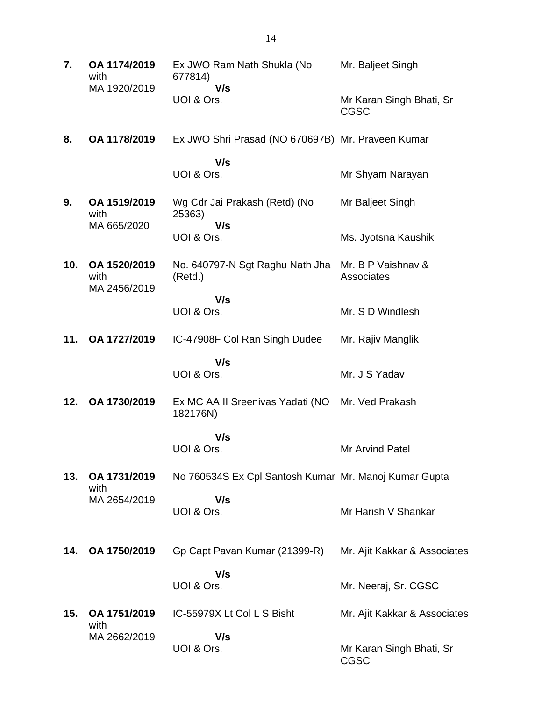| 7.  | OA 1174/2019<br>with                 | Ex JWO Ram Nath Shukla (No<br>677814)                         | Mr. Baljeet Singh                       |
|-----|--------------------------------------|---------------------------------------------------------------|-----------------------------------------|
|     | MA 1920/2019                         | V/s<br>UOI & Ors.                                             | Mr Karan Singh Bhati, Sr<br><b>CGSC</b> |
| 8.  | OA 1178/2019                         | Ex JWO Shri Prasad (NO 670697B) Mr. Praveen Kumar             |                                         |
|     |                                      | V/s<br>UOI & Ors.                                             | Mr Shyam Narayan                        |
| 9.  | OA 1519/2019<br>with<br>MA 665/2020  | Wg Cdr Jai Prakash (Retd) (No<br>25363)<br>V/s                | Mr Baljeet Singh                        |
|     |                                      | UOI & Ors.                                                    | Ms. Jyotsna Kaushik                     |
| 10. | OA 1520/2019<br>with<br>MA 2456/2019 | No. 640797-N Sgt Raghu Nath Jha Mr. B P Vaishnav &<br>(Retd.) | Associates                              |
|     |                                      | V/s<br>UOI & Ors.                                             | Mr. S D Windlesh                        |
| 11. | OA 1727/2019                         | IC-47908F Col Ran Singh Dudee                                 | Mr. Rajiv Manglik                       |
|     |                                      | V/s<br>UOI & Ors.                                             | Mr. J S Yadav                           |
| 12. | OA 1730/2019                         | Ex MC AA II Sreenivas Yadati (NO<br>182176N)                  | Mr. Ved Prakash                         |
|     |                                      | V/s<br>UOI & Ors.                                             | Mr Arvind Patel                         |
| 13. | OA 1731/2019<br>with                 | No 760534S Ex Cpl Santosh Kumar Mr. Manoj Kumar Gupta         |                                         |
|     | MA 2654/2019                         | V/s<br>UOI & Ors.                                             | Mr Harish V Shankar                     |
| 14. | OA 1750/2019                         | Gp Capt Pavan Kumar (21399-R)                                 | Mr. Ajit Kakkar & Associates            |
|     |                                      | V/s<br>UOI & Ors.                                             | Mr. Neeraj, Sr. CGSC                    |
| 15. | OA 1751/2019<br>with                 | IC-55979X Lt Col L S Bisht                                    | Mr. Ajit Kakkar & Associates            |
|     | MA 2662/2019                         | V/s<br>UOI & Ors.                                             | Mr Karan Singh Bhati, Sr<br><b>CGSC</b> |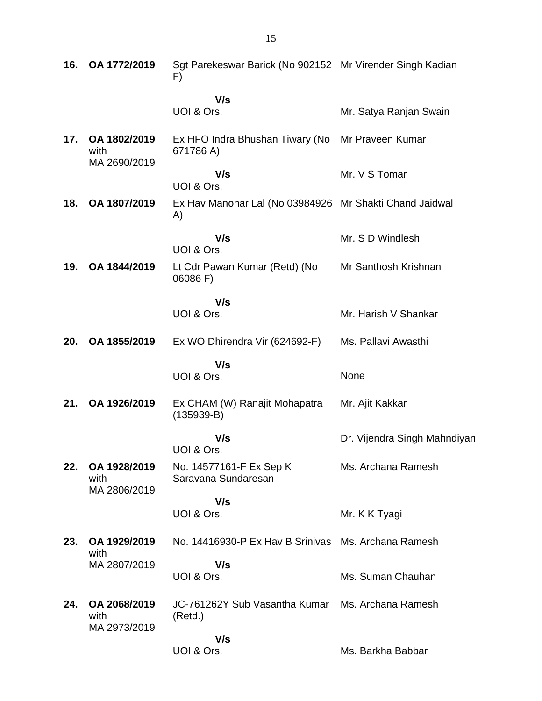| 16. | OA 1772/2019                         | Sgt Parekeswar Barick (No 902152 Mr Virender Singh Kadian<br>F) |                              |
|-----|--------------------------------------|-----------------------------------------------------------------|------------------------------|
|     |                                      | V/s<br>UOI & Ors.                                               | Mr. Satya Ranjan Swain       |
| 17. | OA 1802/2019<br>with<br>MA 2690/2019 | Ex HFO Indra Bhushan Tiwary (No<br>671786 A)                    | Mr Praveen Kumar             |
|     |                                      | V/s<br>UOI & Ors.                                               | Mr. V S Tomar                |
| 18. | OA 1807/2019                         | Ex Hav Manohar Lal (No 03984926 Mr Shakti Chand Jaidwal<br>A)   |                              |
|     |                                      | V/s<br>UOI & Ors.                                               | Mr. S D Windlesh             |
| 19. | OA 1844/2019                         | Lt Cdr Pawan Kumar (Retd) (No<br>06086 F)                       | Mr Santhosh Krishnan         |
|     |                                      | V/s<br>UOI & Ors.                                               | Mr. Harish V Shankar         |
| 20. | OA 1855/2019                         | Ex WO Dhirendra Vir (624692-F)                                  | Ms. Pallavi Awasthi          |
|     |                                      | V/s<br>UOI & Ors.                                               | None                         |
| 21. | OA 1926/2019                         | Ex CHAM (W) Ranajit Mohapatra<br>$(135939-B)$                   | Mr. Ajit Kakkar              |
|     |                                      | V/s<br>UOI & Ors.                                               | Dr. Vijendra Singh Mahndiyan |
| 22. | OA 1928/2019<br>with<br>MA 2806/2019 | No. 14577161-F Ex Sep K<br>Saravana Sundaresan                  | Ms. Archana Ramesh           |
|     |                                      | V/s<br>UOI & Ors.                                               | Mr. K K Tyagi                |
| 23. | OA 1929/2019<br>with                 | No. 14416930-P Ex Hav B Srinivas Ms. Archana Ramesh             |                              |
|     | MA 2807/2019                         | V/s<br>UOI & Ors.                                               | Ms. Suman Chauhan            |
| 24. | OA 2068/2019<br>with<br>MA 2973/2019 | JC-761262Y Sub Vasantha Kumar<br>(Retd.)                        | Ms. Archana Ramesh           |
|     |                                      | V/s<br>UOI & Ors.                                               | Ms. Barkha Babbar            |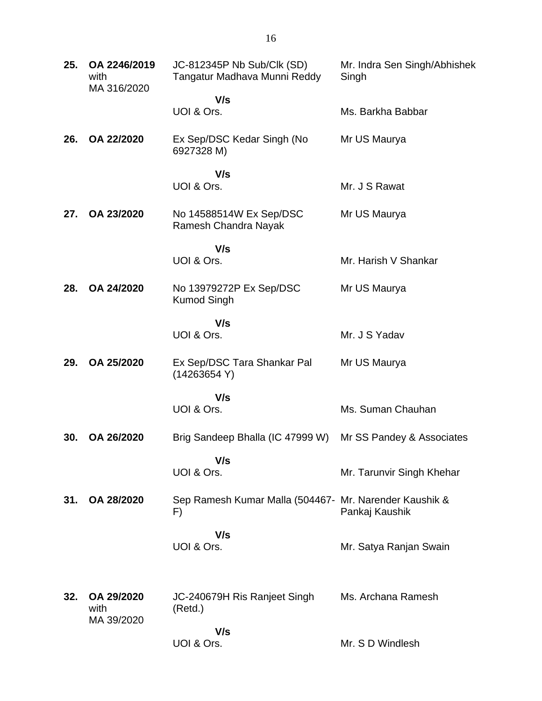| 25. | OA 2246/2019<br>with<br>MA 316/2020 | JC-812345P Nb Sub/Clk (SD)<br>Tangatur Madhava Munni Reddy    | Mr. Indra Sen Singh/Abhishek<br>Singh |
|-----|-------------------------------------|---------------------------------------------------------------|---------------------------------------|
|     |                                     | V/s<br>UOI & Ors.                                             | Ms. Barkha Babbar                     |
| 26. | OA 22/2020                          | Ex Sep/DSC Kedar Singh (No<br>6927328 M)                      | Mr US Maurya                          |
|     |                                     | V/s<br>UOI & Ors.                                             | Mr. J S Rawat                         |
| 27. | OA 23/2020                          | No 14588514W Ex Sep/DSC<br>Ramesh Chandra Nayak               | Mr US Maurya                          |
|     |                                     | V/s                                                           |                                       |
|     |                                     | UOI & Ors.                                                    | Mr. Harish V Shankar                  |
| 28. | OA 24/2020                          | No 13979272P Ex Sep/DSC<br><b>Kumod Singh</b>                 | Mr US Maurya                          |
|     |                                     | V/s<br>UOI & Ors.                                             | Mr. J S Yadav                         |
| 29. | OA 25/2020                          | Ex Sep/DSC Tara Shankar Pal<br>(14263654 Y)                   | Mr US Maurya                          |
|     |                                     | V/s                                                           |                                       |
|     |                                     | UOI & Ors.                                                    | Ms. Suman Chauhan                     |
| 30. | OA 26/2020                          | Brig Sandeep Bhalla (IC 47999 W)                              | Mr SS Pandey & Associates             |
|     |                                     | V/s<br>UOI & Ors.                                             | Mr. Tarunvir Singh Khehar             |
| 31. | OA 28/2020                          | Sep Ramesh Kumar Malla (504467 - Mr. Narender Kaushik &<br>F) | Pankaj Kaushik                        |
|     |                                     | V/s<br>UOI & Ors.                                             | Mr. Satya Ranjan Swain                |
| 32. | OA 29/2020<br>with<br>MA 39/2020    | JC-240679H Ris Ranjeet Singh<br>(Retd.)                       | Ms. Archana Ramesh                    |
|     |                                     | V/s<br>UOI & Ors.                                             | Mr. S D Windlesh                      |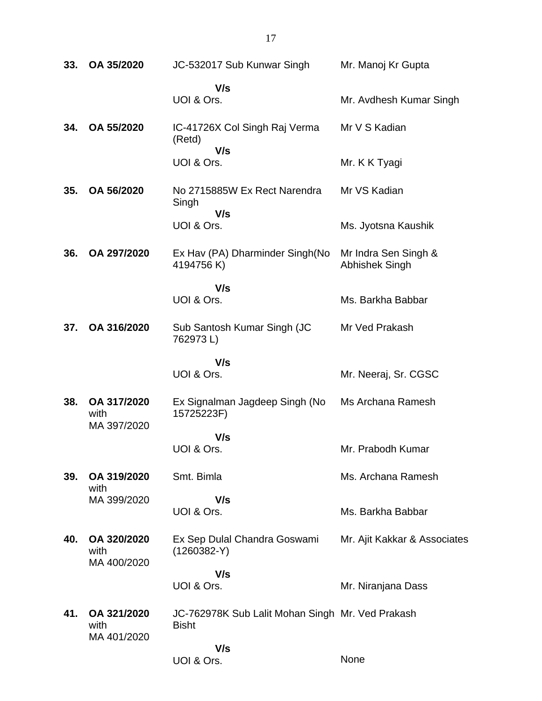| 33. | OA 35/2020                         | JC-532017 Sub Kunwar Singh                                       | Mr. Manoj Kr Gupta                            |
|-----|------------------------------------|------------------------------------------------------------------|-----------------------------------------------|
|     |                                    | V/s<br>UOI & Ors.                                                | Mr. Avdhesh Kumar Singh                       |
| 34. | OA 55/2020                         | IC-41726X Col Singh Raj Verma<br>(Retd)                          | Mr V S Kadian                                 |
|     |                                    | V/s<br>UOI & Ors.                                                | Mr. K K Tyagi                                 |
| 35. | OA 56/2020                         | No 2715885W Ex Rect Narendra<br>Singh                            | Mr VS Kadian                                  |
|     |                                    | V/s<br>UOI & Ors.                                                | Ms. Jyotsna Kaushik                           |
| 36. | OA 297/2020                        | Ex Hav (PA) Dharminder Singh(No<br>4194756 K)                    | Mr Indra Sen Singh &<br><b>Abhishek Singh</b> |
|     |                                    | V/s<br>UOI & Ors.                                                | Ms. Barkha Babbar                             |
| 37. | OA 316/2020                        | Sub Santosh Kumar Singh (JC<br>762973L)                          | Mr Ved Prakash                                |
|     |                                    | V/s<br>UOI & Ors.                                                | Mr. Neeraj, Sr. CGSC                          |
| 38. | OA 317/2020<br>with<br>MA 397/2020 | Ex Signalman Jagdeep Singh (No<br>15725223F)                     | Ms Archana Ramesh                             |
|     |                                    | V/s<br>UOI & Ors.                                                | Mr. Prabodh Kumar                             |
| 39. | OA 319/2020<br>with                | Smt. Bimla                                                       | Ms. Archana Ramesh                            |
|     | MA 399/2020                        | V/s<br>UOI & Ors.                                                | Ms. Barkha Babbar                             |
| 40. | OA 320/2020<br>with<br>MA 400/2020 | Ex Sep Dulal Chandra Goswami<br>$(1260382-Y)$                    | Mr. Ajit Kakkar & Associates                  |
|     |                                    | V/s<br>UOI & Ors.                                                | Mr. Niranjana Dass                            |
| 41. | OA 321/2020<br>with<br>MA 401/2020 | JC-762978K Sub Lalit Mohan Singh Mr. Ved Prakash<br><b>Bisht</b> |                                               |
|     |                                    | V/s<br>UOI & Ors.                                                | None                                          |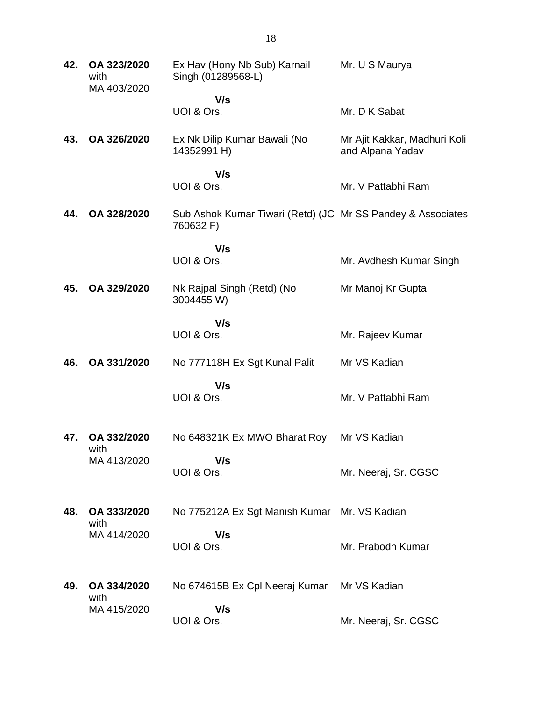| 42. | OA 323/2020<br>with<br>MA 403/2020 | Ex Hav (Hony Nb Sub) Karnail<br>Singh (01289568-L)                       | Mr. U S Maurya                                   |
|-----|------------------------------------|--------------------------------------------------------------------------|--------------------------------------------------|
|     |                                    | V/s<br>UOI & Ors.                                                        | Mr. D K Sabat                                    |
| 43. | OA 326/2020                        | Ex Nk Dilip Kumar Bawali (No<br>14352991 H)                              | Mr Ajit Kakkar, Madhuri Koli<br>and Alpana Yadav |
|     |                                    | V/s<br>UOI & Ors.                                                        | Mr. V Pattabhi Ram                               |
| 44. | OA 328/2020                        | Sub Ashok Kumar Tiwari (Retd) (JC Mr SS Pandey & Associates<br>760632 F) |                                                  |
|     |                                    | V/s<br>UOI & Ors.                                                        | Mr. Avdhesh Kumar Singh                          |
| 45. | OA 329/2020                        | Nk Rajpal Singh (Retd) (No<br>3004455 W)                                 | Mr Manoj Kr Gupta                                |
|     |                                    | V/s<br>UOI & Ors.                                                        | Mr. Rajeev Kumar                                 |
| 46. | OA 331/2020                        | No 777118H Ex Sgt Kunal Palit                                            | Mr VS Kadian                                     |
|     |                                    | V/s<br>UOI & Ors.                                                        | Mr. V Pattabhi Ram                               |
| 47. | OA 332/2020<br>with                | No 648321K Ex MWO Bharat Roy                                             | Mr VS Kadian                                     |
|     | MA 413/2020                        | V/s<br>UOI & Ors.                                                        | Mr. Neeraj, Sr. CGSC                             |
| 48. | OA 333/2020<br>with                | No 775212A Ex Sgt Manish Kumar Mr. VS Kadian                             |                                                  |
|     | MA 414/2020                        | V/s<br>UOI & Ors.                                                        | Mr. Prabodh Kumar                                |
| 49. | OA 334/2020<br>with                | No 674615B Ex Cpl Neeraj Kumar Mr VS Kadian                              |                                                  |
|     | MA 415/2020                        | V/s<br>UOI & Ors.                                                        | Mr. Neeraj, Sr. CGSC                             |